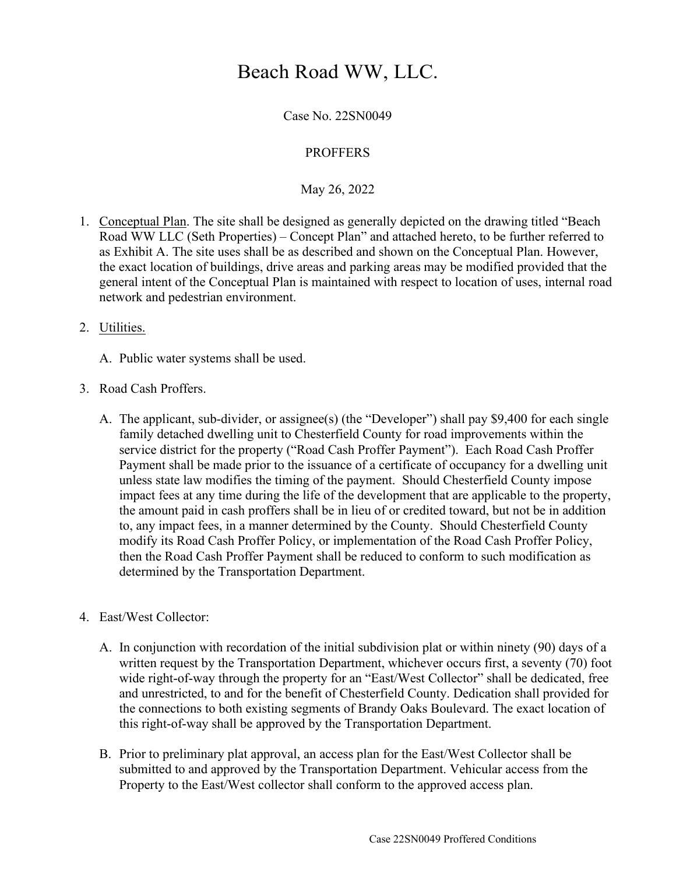## Beach Road WW, LLC.

Case No. 22SN0049

## PROFFERS

May 26, 2022

- 1. Conceptual Plan. The site shall be designed as generally depicted on the drawing titled "Beach Road WW LLC (Seth Properties) – Concept Plan" and attached hereto, to be further referred to as Exhibit A. The site uses shall be as described and shown on the Conceptual Plan. However, the exact location of buildings, drive areas and parking areas may be modified provided that the general intent of the Conceptual Plan is maintained with respect to location of uses, internal road network and pedestrian environment.
- 2. Utilities.
	- A. Public water systems shall be used.
- 3. Road Cash Proffers.
	- A. The applicant, sub-divider, or assignee(s) (the "Developer") shall pay \$9,400 for each single family detached dwelling unit to Chesterfield County for road improvements within the service district for the property ("Road Cash Proffer Payment"). Each Road Cash Proffer Payment shall be made prior to the issuance of a certificate of occupancy for a dwelling unit unless state law modifies the timing of the payment. Should Chesterfield County impose impact fees at any time during the life of the development that are applicable to the property, the amount paid in cash proffers shall be in lieu of or credited toward, but not be in addition to, any impact fees, in a manner determined by the County. Should Chesterfield County modify its Road Cash Proffer Policy, or implementation of the Road Cash Proffer Policy, then the Road Cash Proffer Payment shall be reduced to conform to such modification as determined by the Transportation Department.
- 4. East/West Collector:
	- A. In conjunction with recordation of the initial subdivision plat or within ninety (90) days of a written request by the Transportation Department, whichever occurs first, a seventy (70) foot wide right-of-way through the property for an "East/West Collector" shall be dedicated, free and unrestricted, to and for the benefit of Chesterfield County. Dedication shall provided for the connections to both existing segments of Brandy Oaks Boulevard. The exact location of this right-of-way shall be approved by the Transportation Department.
	- B. Prior to preliminary plat approval, an access plan for the East/West Collector shall be submitted to and approved by the Transportation Department. Vehicular access from the Property to the East/West collector shall conform to the approved access plan.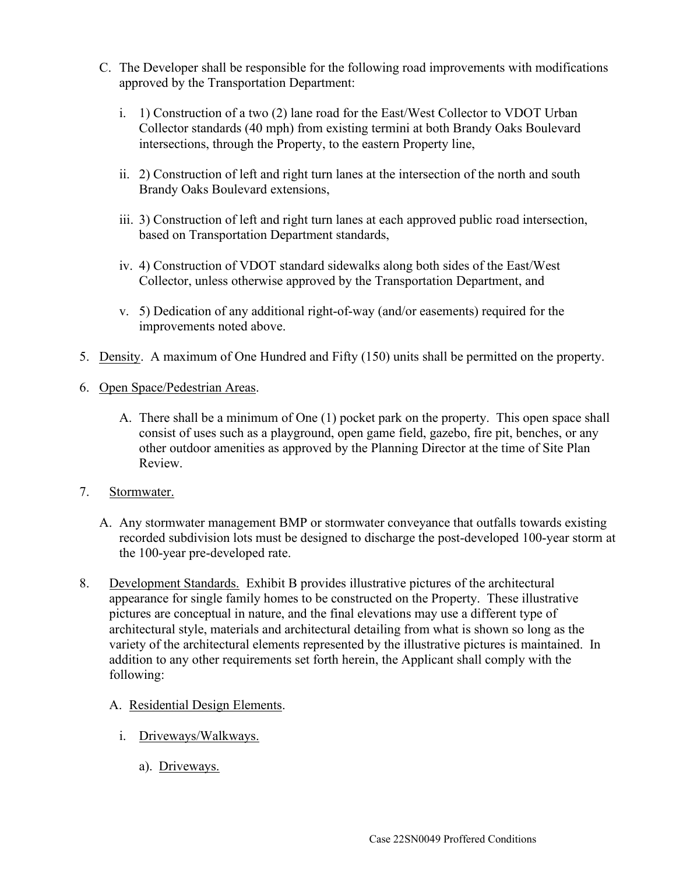- C. The Developer shall be responsible for the following road improvements with modifications approved by the Transportation Department:
	- i. 1) Construction of a two (2) lane road for the East/West Collector to VDOT Urban Collector standards (40 mph) from existing termini at both Brandy Oaks Boulevard intersections, through the Property, to the eastern Property line,
	- ii. 2) Construction of left and right turn lanes at the intersection of the north and south Brandy Oaks Boulevard extensions,
	- iii. 3) Construction of left and right turn lanes at each approved public road intersection, based on Transportation Department standards,
	- iv. 4) Construction of VDOT standard sidewalks along both sides of the East/West Collector, unless otherwise approved by the Transportation Department, and
	- v. 5) Dedication of any additional right-of-way (and/or easements) required for the improvements noted above.
- 5. Density. A maximum of One Hundred and Fifty (150) units shall be permitted on the property.
- 6. Open Space/Pedestrian Areas.
	- A. There shall be a minimum of One (1) pocket park on the property. This open space shall consist of uses such as a playground, open game field, gazebo, fire pit, benches, or any other outdoor amenities as approved by the Planning Director at the time of Site Plan Review.
- 7. Stormwater.
	- A. Any stormwater management BMP or stormwater conveyance that outfalls towards existing recorded subdivision lots must be designed to discharge the post-developed 100-year storm at the 100-year pre-developed rate.
- 8. Development Standards. Exhibit B provides illustrative pictures of the architectural appearance for single family homes to be constructed on the Property. These illustrative pictures are conceptual in nature, and the final elevations may use a different type of architectural style, materials and architectural detailing from what is shown so long as the variety of the architectural elements represented by the illustrative pictures is maintained. In addition to any other requirements set forth herein, the Applicant shall comply with the following:
	- A. Residential Design Elements.
		- i. Driveways/Walkways.
			- a). Driveways.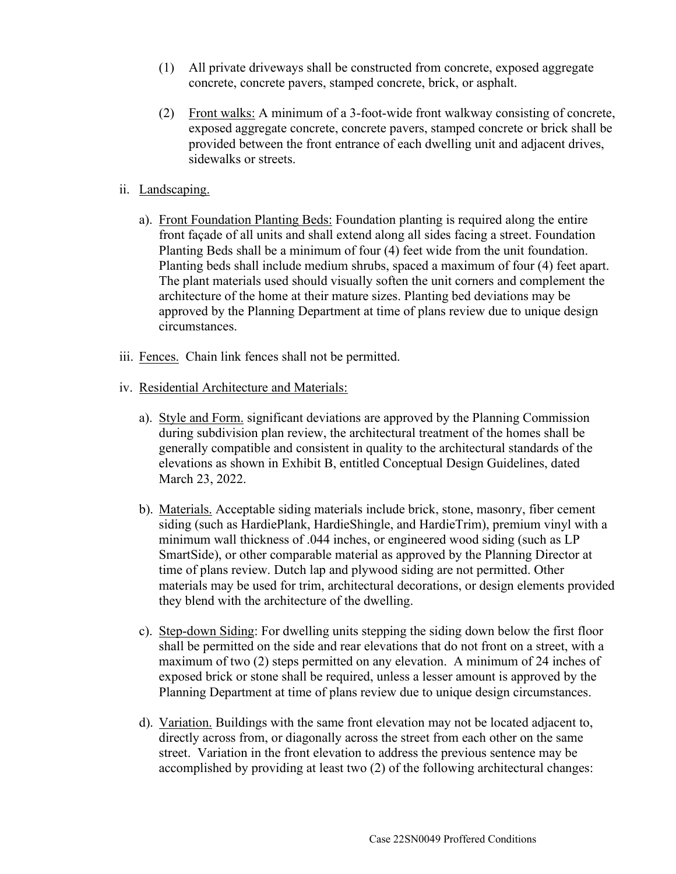- (1) All private driveways shall be constructed from concrete, exposed aggregate concrete, concrete pavers, stamped concrete, brick, or asphalt.
- (2) Front walks: A minimum of a 3-foot-wide front walkway consisting of concrete, exposed aggregate concrete, concrete pavers, stamped concrete or brick shall be provided between the front entrance of each dwelling unit and adjacent drives, sidewalks or streets.
- ii. Landscaping.
	- a). Front Foundation Planting Beds: Foundation planting is required along the entire front façade of all units and shall extend along all sides facing a street. Foundation Planting Beds shall be a minimum of four (4) feet wide from the unit foundation. Planting beds shall include medium shrubs, spaced a maximum of four (4) feet apart. The plant materials used should visually soften the unit corners and complement the architecture of the home at their mature sizes. Planting bed deviations may be approved by the Planning Department at time of plans review due to unique design circumstances.
- iii. Fences. Chain link fences shall not be permitted.
- iv. Residential Architecture and Materials:
	- a). Style and Form. significant deviations are approved by the Planning Commission during subdivision plan review, the architectural treatment of the homes shall be generally compatible and consistent in quality to the architectural standards of the elevations as shown in Exhibit B, entitled Conceptual Design Guidelines, dated March 23, 2022.
	- b). Materials. Acceptable siding materials include brick, stone, masonry, fiber cement siding (such as HardiePlank, HardieShingle, and HardieTrim), premium vinyl with a minimum wall thickness of .044 inches, or engineered wood siding (such as LP SmartSide), or other comparable material as approved by the Planning Director at time of plans review. Dutch lap and plywood siding are not permitted. Other materials may be used for trim, architectural decorations, or design elements provided they blend with the architecture of the dwelling.
	- c). Step-down Siding: For dwelling units stepping the siding down below the first floor shall be permitted on the side and rear elevations that do not front on a street, with a maximum of two (2) steps permitted on any elevation. A minimum of 24 inches of exposed brick or stone shall be required, unless a lesser amount is approved by the Planning Department at time of plans review due to unique design circumstances.
	- d). Variation. Buildings with the same front elevation may not be located adjacent to, directly across from, or diagonally across the street from each other on the same street. Variation in the front elevation to address the previous sentence may be accomplished by providing at least two (2) of the following architectural changes: